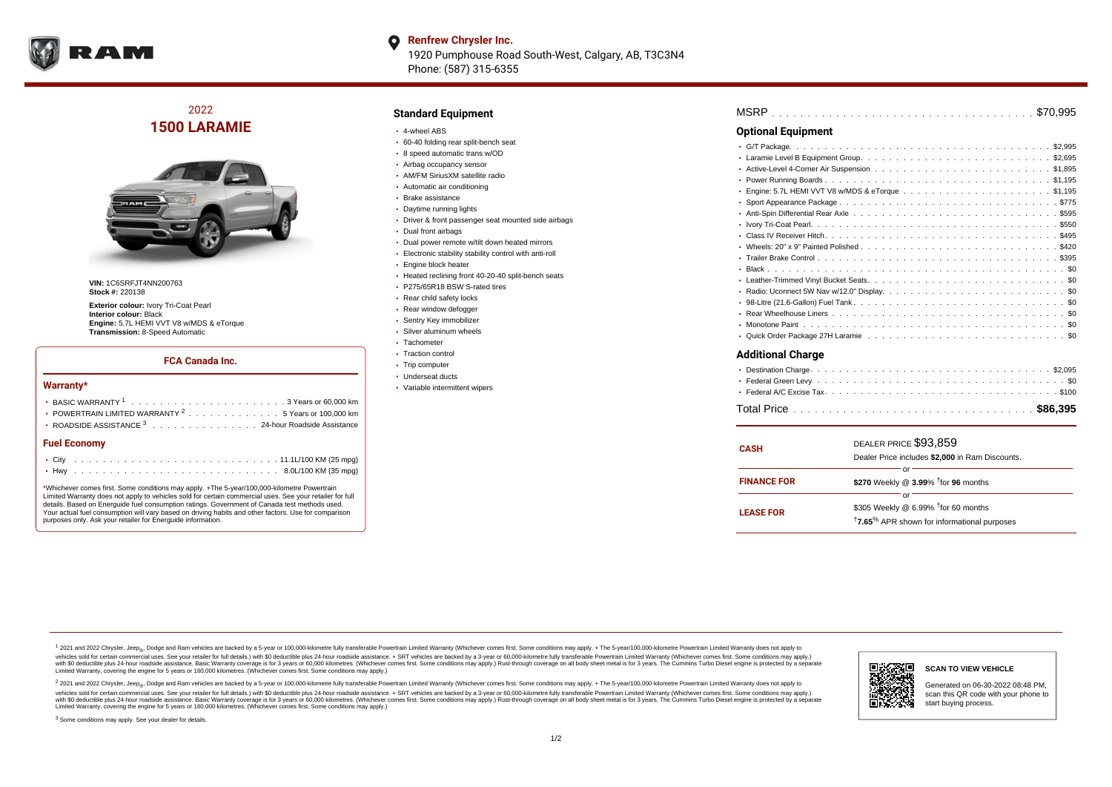

#### **Renfrew Chrysler Inc.**  $\bullet$ 1920 Pumphouse Road South-West, Calgary, AB, T3C3N4 Phone: (587) 315-6355

## 2022 **1500 LARAMIE**



**VIN:** 1C6SRFJT4NN200763 **Stock #:** 220138

**Exterior colour:** Ivory Tri-Coat Pearl **Interior colour:** Black **Engine:** 5.7L HEMI VVT V8 w/MDS & eTorque **Transmission:** 8-Speed Automatic

#### **FCA Canada Inc.**

#### **Warranty\***

| <b>Fuel Economy</b>                                              |  |  |  |  |  |  |
|------------------------------------------------------------------|--|--|--|--|--|--|
| ROADSIDE ASSISTANCE 3 24-hour Roadside Assistance                |  |  |  |  |  |  |
| • POWERTRAIN LIMITED WARRANTY <sup>2</sup> 5 Years or 100,000 km |  |  |  |  |  |  |
|                                                                  |  |  |  |  |  |  |
|                                                                  |  |  |  |  |  |  |

\*Whichever comes first. Some conditions may apply. +The 5-year/100,000-kilometre Powertrain Limited Warranty does not apply to vehicles sold for certain commercial uses. See your retailer for full details. Based on Energuide fuel consumption ratings. Government of Canada test methods used. Your actual fuel consumption will vary based on driving habits and other factors. Use for comparison purposes only. Ask your retailer for Energuide information.

#### **Standard Equipment**

- 4-wheel ABS
- 60-40 folding rear split-bench seat
- 8 speed automatic trans w/OD
- Airbag occupancy sensor
- AM/FM SiriusXM satellite radio Automatic air conditioning
- Brake assistance
- Daytime running lights
- Driver & front passenger seat mounted side airbags
- Dual front airbags
- Dual power remote w/tilt down heated mirrors
- Electronic stability stability control with anti-roll
- Engine block heater
- Heated reclining front 40-20-40 split-bench seats
- P275/65R18 BSW S-rated tires
- Rear child safety locks
- Rear window defogger
- Sentry Key immobilizer
- Silver aluminum wheels
- Tachometer
- Traction control
- Trip computer
- Underseat ducts
- Variable intermittent wipers

| MSRP |  |  |  |  |  |  |  |  |  |  |  |  |  |  |  |  |  |  |  |  |  |  |  |  |  |  |  |  |  |  |  |  |  |  |  |  |  |  |
|------|--|--|--|--|--|--|--|--|--|--|--|--|--|--|--|--|--|--|--|--|--|--|--|--|--|--|--|--|--|--|--|--|--|--|--|--|--|--|
|------|--|--|--|--|--|--|--|--|--|--|--|--|--|--|--|--|--|--|--|--|--|--|--|--|--|--|--|--|--|--|--|--|--|--|--|--|--|--|

### **Optional Equipment**

### **Additional Charge**

| <b>CASH</b>        | DEALER PRICE \$93.859<br>Dealer Price includes \$2,000 in Ram Discounts.                                                     |
|--------------------|------------------------------------------------------------------------------------------------------------------------------|
| <b>FINANCE FOR</b> | Ωľ<br>\$270 Weekly @ $3.99\%$ <sup>†</sup> for 96 months                                                                     |
| <b>LEASE FOR</b>   | nr<br>\$305 Weekly @ 6.99% <sup>1</sup> for 60 months<br><sup>†</sup> 7.65 <sup>%</sup> APR shown for informational purposes |

1 2021 and 2022 Chrysler, Jeep<sub>er</sub>, Dodge and Ram vehicles are backed by a 5-year or 100,000-kilometre fully transferable Powertrain Limited Warranty (Whichever comes first. Some conditions may apply. + The 5-year/100,000vehicles sold for certain commercial uses. See your retailer for full details.) with \$0 deductible plus 24-hour roadside assistance. + SRT vehicles are backed by a 3-year or 60,000-kilometre fully transferable Powertrain L versus and contract the mean of the contract of the contract with a contract with a contract the contract of the search of the contract and a control of the contract and contract and control of the search of the search of Limited Warranty, covering the engine for 5 years or 160,000 kilometres. (Whichever comes first. Some conditions may apply.)

<sup>2</sup> 2021 and 2022 Chrysler, Jeep<sub>®</sub>, Dodge and Ram vehicles are backed by a 5-year or 100,000-kilometre fully transferable Powertrain Limited Warranty (Whichever comes first. Some conditions may apply. + The 5-year/100,000 vehicles sold for certain commercial uses. See your retailer for full details.) with SO deductible plus 24-hour roadside assistance. + SRT vehicles are backed by a 3-year or 60.000-kilometre fully transferable Powertrain. with S0 deductible plus 24-hour roadside assistance. Basic Warranty coverage is for 3 years or 60,000 kilometres. (Whichever comes first. Some conditions may apply.) Rust-through coverage on all body sheet metal is for 3 y



#### **SCAN TO VIEW VEHICLE**

Generated on 06-30-2022 08:48 PM, scan this QR code with your phone to start buying process.

<sup>3</sup> Some conditions may apply. See your dealer for details.